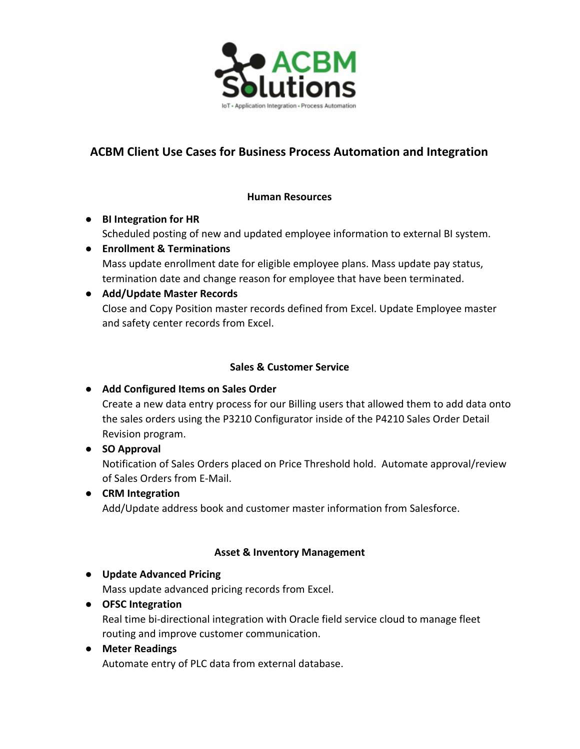

## **ACBM Client Use Cases for Business Process Automation and Integration**

#### **Human Resources**

- **● BI Integration for HR** Scheduled posting of new and updated employee information to external BI system.
- **● Enrollment & Terminations** Mass update enrollment date for eligible employee plans. Mass update pay status, termination date and change reason for employee that have been terminated.

#### **● Add/Update Master Records**

Close and Copy Position master records defined from Excel. Update Employee master and safety center records from Excel.

#### **Sales & Customer Service**

## **● Add Configured Items on Sales Order**

Create a new data entry process for our Billing users that allowed them to add data onto the sales orders using the P3210 Configurator inside of the P4210 Sales Order Detail Revision program.

## **● SO Approval**

Notification of Sales Orders placed on Price Threshold hold. Automate approval/review of Sales Orders from E-Mail.

#### **● CRM Integration**

Add/Update address book and customer master information from Salesforce.

#### **Asset & Inventory Management**

#### **● Update Advanced Pricing**

Mass update advanced pricing records from Excel.

#### **● OFSC Integration**

Real time bi-directional integration with Oracle field service cloud to manage fleet routing and improve customer communication.

#### **● Meter Readings**

Automate entry of PLC data from external database.